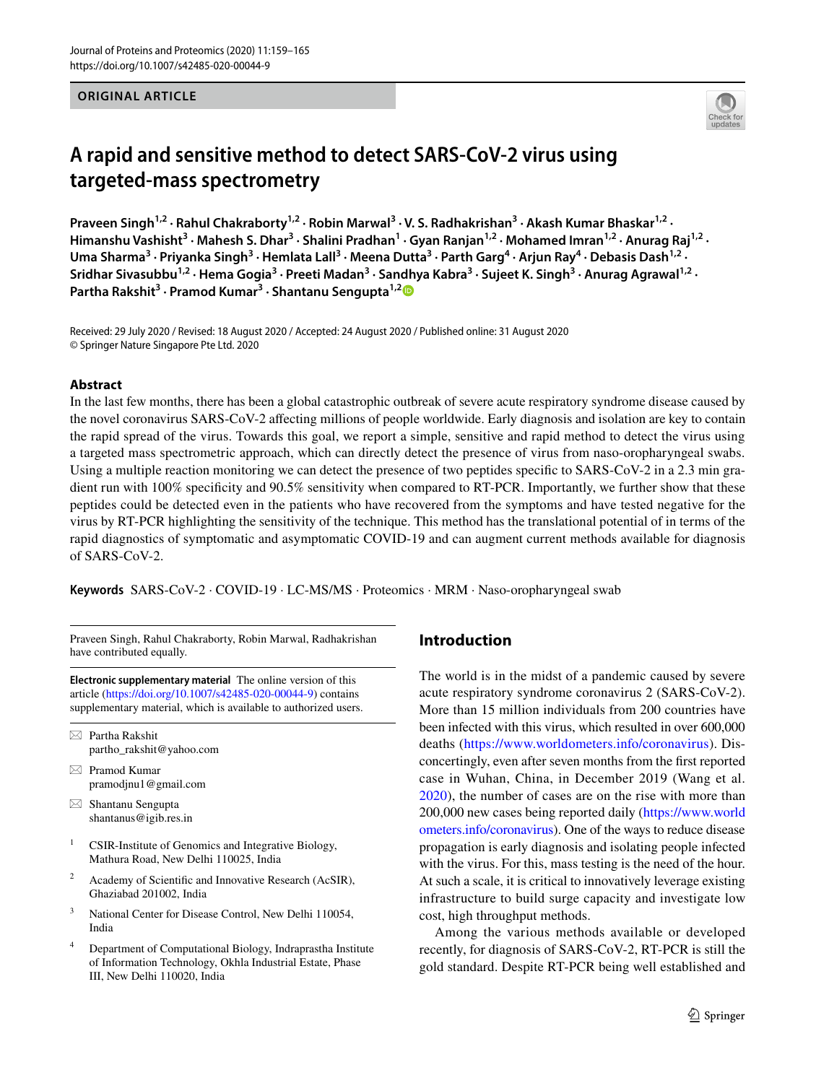**ORIGINAL ARTICLE**



# **A rapid and sensitive method to detect SARS‑CoV‑2 virus using targeted‑mass spectrometry**

Praveen Singh<sup>1,2</sup> · Rahul Chakraborty<sup>1,2</sup> · Robin Marwal<sup>3</sup> · V. S. Radhakrishan<sup>3</sup> · Akash Kumar Bhaskar<sup>1,2</sup> · Himanshu Vashisht<sup>3</sup> • Mahesh S. Dhar<sup>3</sup> • Shalini Pradhan<sup>1</sup> • Gyan Ranjan<sup>1,2</sup> • Mohamed Imran<sup>1,2</sup> • Anurag Raj<sup>1,2</sup> • Uma Sharma<sup>3</sup> · Priyanka Singh<sup>3</sup> · Hemlata Lall<sup>3</sup> · Meena Dutta<sup>3</sup> · Parth Garg<sup>4</sup> · Arjun Ray<sup>4</sup> · Debasis Dash<sup>1,2</sup> · Sridhar Sivasubbu<sup>1,2</sup> · Hema Gogia<sup>3</sup> · Preeti Madan<sup>3</sup> · Sandhya Kabra<sup>3</sup> · Sujeet K. Singh<sup>3</sup> · Anurag Agrawal<sup>1,2</sup> · **Partha Rakshit3 · Pramod Kumar3 · Shantanu Sengupta1,[2](http://orcid.org/0000-0001-8461-0735)**

Received: 29 July 2020 / Revised: 18 August 2020 / Accepted: 24 August 2020 / Published online: 31 August 2020 © Springer Nature Singapore Pte Ltd. 2020

## **Abstract**

In the last few months, there has been a global catastrophic outbreak of severe acute respiratory syndrome disease caused by the novel coronavirus SARS-CoV-2 afecting millions of people worldwide. Early diagnosis and isolation are key to contain the rapid spread of the virus. Towards this goal, we report a simple, sensitive and rapid method to detect the virus using a targeted mass spectrometric approach, which can directly detect the presence of virus from naso-oropharyngeal swabs. Using a multiple reaction monitoring we can detect the presence of two peptides specific to SARS-CoV-2 in a 2.3 min gradient run with 100% specificity and 90.5% sensitivity when compared to RT-PCR. Importantly, we further show that these peptides could be detected even in the patients who have recovered from the symptoms and have tested negative for the virus by RT-PCR highlighting the sensitivity of the technique. This method has the translational potential of in terms of the rapid diagnostics of symptomatic and asymptomatic COVID-19 and can augment current methods available for diagnosis of SARS-CoV-2.

**Keywords** SARS-CoV-2 · COVID-19 · LC-MS/MS · Proteomics · MRM · Naso-oropharyngeal swab

Praveen Singh, Rahul Chakraborty, Robin Marwal, Radhakrishan have contributed equally.

**Electronic supplementary material** The online version of this article [\(https://doi.org/10.1007/s42485-020-00044-9\)](https://doi.org/10.1007/s42485-020-00044-9) contains supplementary material, which is available to authorized users.

 $\boxtimes$  Partha Rakshit partho\_rakshit@yahoo.com

- $\boxtimes$  Pramod Kumar pramodjnu1@gmail.com
- $\boxtimes$  Shantanu Sengupta shantanus@igib.res.in
- <sup>1</sup> CSIR-Institute of Genomics and Integrative Biology, Mathura Road, New Delhi 110025, India
- <sup>2</sup> Academy of Scientific and Innovative Research (AcSIR), Ghaziabad 201002, India
- <sup>3</sup> National Center for Disease Control, New Delhi 110054, India
- <sup>4</sup> Department of Computational Biology, Indraprastha Institute of Information Technology, Okhla Industrial Estate, Phase III, New Delhi 110020, India

# **Introduction**

The world is in the midst of a pandemic caused by severe acute respiratory syndrome coronavirus 2 (SARS-CoV-2). More than 15 million individuals from 200 countries have been infected with this virus, which resulted in over 600,000 deaths ([https://www.worldometers.info/coronavirus\)](https://www.worldometers.info/coronavirus). Disconcertingly, even after seven months from the frst reported case in Wuhan, China, in December 2019 (Wang et al. [2020](#page-6-0)), the number of cases are on the rise with more than 200,000 new cases being reported daily ([https://www.world](https://www.worldometers.info/coronavirus) [ometers.info/coronavirus](https://www.worldometers.info/coronavirus)). One of the ways to reduce disease propagation is early diagnosis and isolating people infected with the virus. For this, mass testing is the need of the hour. At such a scale, it is critical to innovatively leverage existing infrastructure to build surge capacity and investigate low cost, high throughput methods.

Among the various methods available or developed recently, for diagnosis of SARS-CoV-2, RT-PCR is still the gold standard. Despite RT-PCR being well established and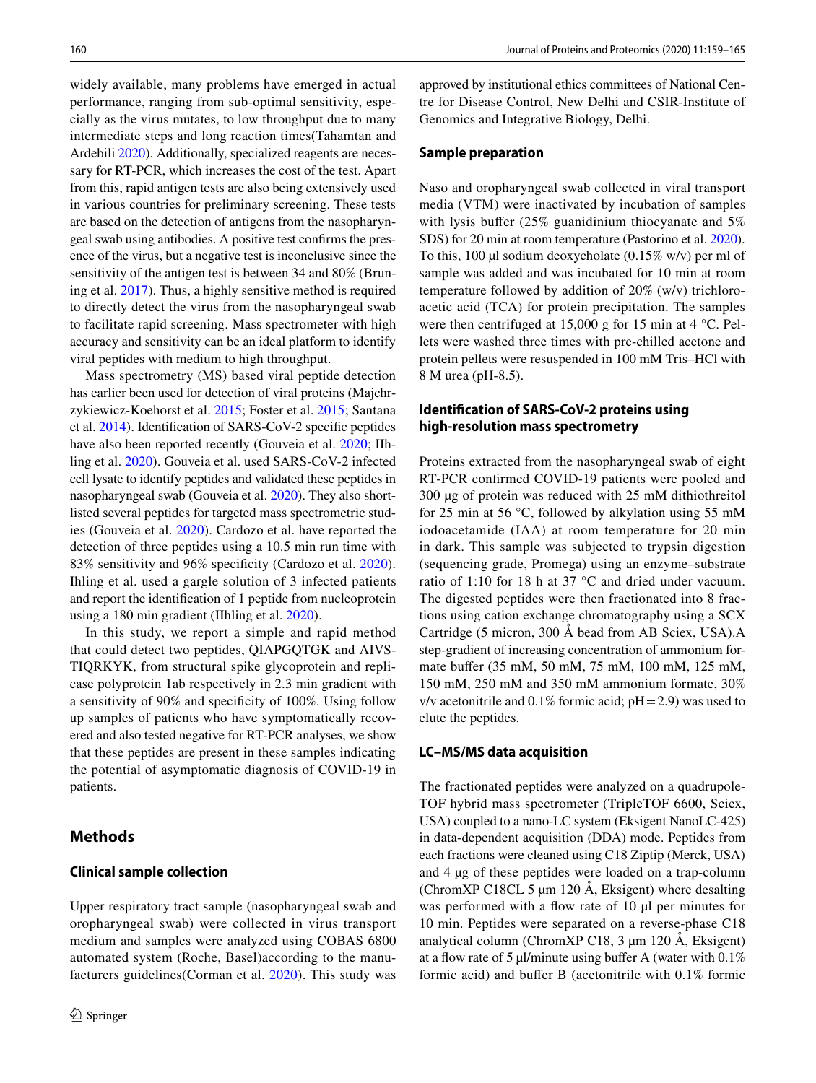widely available, many problems have emerged in actual performance, ranging from sub-optimal sensitivity, especially as the virus mutates, to low throughput due to many intermediate steps and long reaction times(Tahamtan and Ardebili [2020](#page-6-1)). Additionally, specialized reagents are necessary for RT-PCR, which increases the cost of the test. Apart from this, rapid antigen tests are also being extensively used in various countries for preliminary screening. These tests are based on the detection of antigens from the nasopharyngeal swab using antibodies. A positive test confrms the presence of the virus, but a negative test is inconclusive since the sensitivity of the antigen test is between 34 and 80% (Bruning et al. [2017](#page-5-0)). Thus, a highly sensitive method is required to directly detect the virus from the nasopharyngeal swab to facilitate rapid screening. Mass spectrometer with high accuracy and sensitivity can be an ideal platform to identify viral peptides with medium to high throughput.

Mass spectrometry (MS) based viral peptide detection has earlier been used for detection of viral proteins (Majchrzykiewicz-Koehorst et al. [2015;](#page-6-2) Foster et al. [2015;](#page-5-1) Santana et al. [2014](#page-6-3)). Identifcation of SARS-CoV-2 specifc peptides have also been reported recently (Gouveia et al. [2020](#page-5-2); IIhling et al. [2020](#page-5-3)). Gouveia et al. used SARS-CoV-2 infected cell lysate to identify peptides and validated these peptides in nasopharyngeal swab (Gouveia et al. [2020](#page-5-2)). They also shortlisted several peptides for targeted mass spectrometric studies (Gouveia et al. [2020](#page-5-4)). Cardozo et al. have reported the detection of three peptides using a 10.5 min run time with 83% sensitivity and 96% specifcity (Cardozo et al. [2020](#page-5-5)). Ihling et al. used a gargle solution of 3 infected patients and report the identifcation of 1 peptide from nucleoprotein using a 180 min gradient (IIhling et al. [2020](#page-5-3)).

In this study, we report a simple and rapid method that could detect two peptides, QIAPGQTGK and AIVS-TIQRKYK, from structural spike glycoprotein and replicase polyprotein 1ab respectively in 2.3 min gradient with a sensitivity of 90% and specifcity of 100%. Using follow up samples of patients who have symptomatically recovered and also tested negative for RT-PCR analyses, we show that these peptides are present in these samples indicating the potential of asymptomatic diagnosis of COVID-19 in patients.

## **Methods**

#### **Clinical sample collection**

Upper respiratory tract sample (nasopharyngeal swab and oropharyngeal swab) were collected in virus transport medium and samples were analyzed using COBAS 6800 automated system (Roche, Basel)according to the manufacturers guidelines(Corman et al. [2020](#page-5-6)). This study was approved by institutional ethics committees of National Centre for Disease Control, New Delhi and CSIR-Institute of Genomics and Integrative Biology, Delhi.

#### **Sample preparation**

Naso and oropharyngeal swab collected in viral transport media (VTM) were inactivated by incubation of samples with lysis buffer (25% guanidinium thiocyanate and 5%) SDS) for 20 min at room temperature (Pastorino et al. [2020](#page-6-4)). To this, 100 µl sodium deoxycholate  $(0.15\% \text{ w/v})$  per ml of sample was added and was incubated for 10 min at room temperature followed by addition of 20% (w/v) trichloroacetic acid (TCA) for protein precipitation. The samples were then centrifuged at 15,000 g for 15 min at 4 °C. Pellets were washed three times with pre-chilled acetone and protein pellets were resuspended in 100 mM Tris–HCl with 8 M urea (pH-8.5).

# **Identifcation of SARS‑CoV‑2 proteins using high‑resolution mass spectrometry**

Proteins extracted from the nasopharyngeal swab of eight RT-PCR confrmed COVID-19 patients were pooled and 300 µg of protein was reduced with 25 mM dithiothreitol for 25 min at 56 °C, followed by alkylation using 55 mM iodoacetamide (IAA) at room temperature for 20 min in dark. This sample was subjected to trypsin digestion (sequencing grade, Promega) using an enzyme–substrate ratio of 1:10 for 18 h at 37 °C and dried under vacuum. The digested peptides were then fractionated into 8 fractions using cation exchange chromatography using a SCX Cartridge (5 micron, 300 Å bead from AB Sciex, USA).A step-gradient of increasing concentration of ammonium formate bufer (35 mM, 50 mM, 75 mM, 100 mM, 125 mM, 150 mM, 250 mM and 350 mM ammonium formate, 30% v/v acetonitrile and  $0.1\%$  formic acid;  $pH = 2.9$ ) was used to elute the peptides.

#### **LC–MS/MS data acquisition**

The fractionated peptides were analyzed on a quadrupole-TOF hybrid mass spectrometer (TripleTOF 6600, Sciex, USA) coupled to a nano-LC system (Eksigent NanoLC-425) in data-dependent acquisition (DDA) mode. Peptides from each fractions were cleaned using C18 Ziptip (Merck, USA) and 4 µg of these peptides were loaded on a trap-column (ChromXP C18CL 5 µm 120 Å, Eksigent) where desalting was performed with a flow rate of 10 µl per minutes for 10 min. Peptides were separated on a reverse-phase C18 analytical column (ChromXP C18, 3 µm 120 Å, Eksigent) at a flow rate of 5  $\mu$ l/minute using buffer A (water with 0.1%) formic acid) and bufer B (acetonitrile with 0.1% formic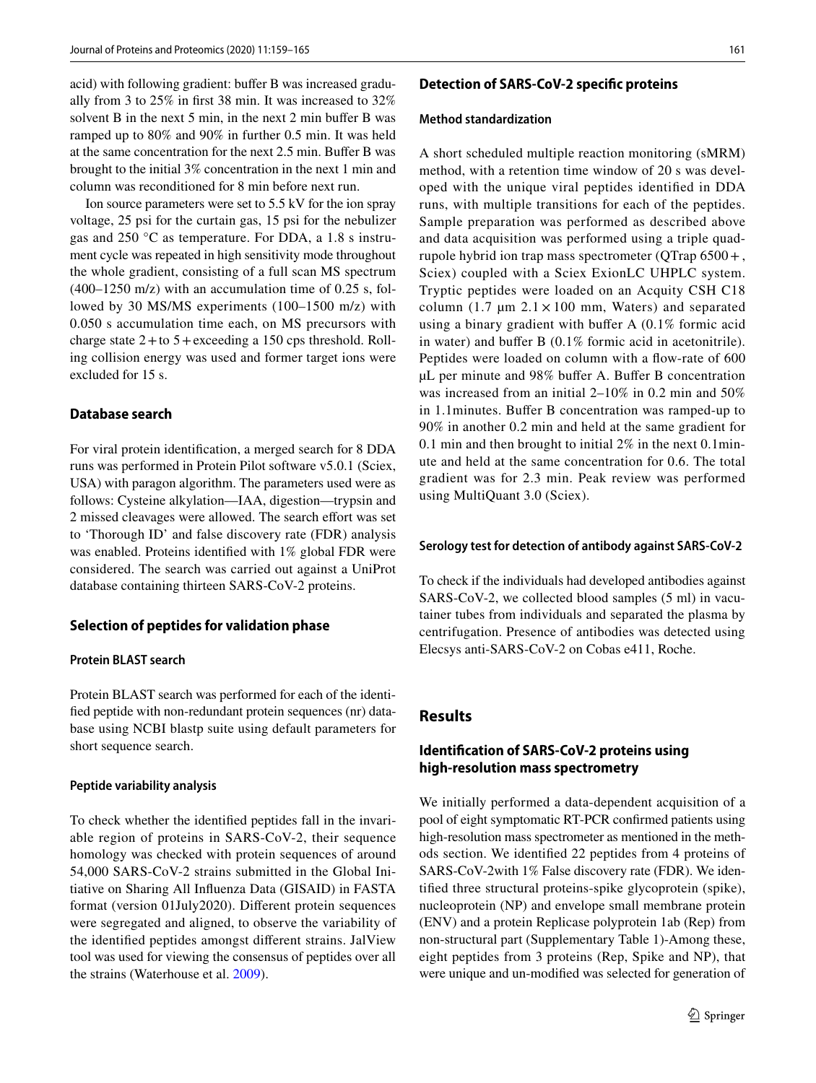acid) with following gradient: buffer B was increased gradually from 3 to 25% in frst 38 min. It was increased to 32% solvent B in the next 5 min, in the next 2 min buffer B was ramped up to 80% and 90% in further 0.5 min. It was held at the same concentration for the next 2.5 min. Bufer B was brought to the initial 3% concentration in the next 1 min and column was reconditioned for 8 min before next run.

Ion source parameters were set to 5.5 kV for the ion spray voltage, 25 psi for the curtain gas, 15 psi for the nebulizer gas and 250 °C as temperature. For DDA, a 1.8 s instrument cycle was repeated in high sensitivity mode throughout the whole gradient, consisting of a full scan MS spectrum (400–1250 m/z) with an accumulation time of 0.25 s, followed by 30 MS/MS experiments (100–1500 m/z) with 0.050 s accumulation time each, on MS precursors with charge state  $2 +$ to  $5 +$ exceeding a 150 cps threshold. Rolling collision energy was used and former target ions were excluded for 15 s.

#### **Database search**

For viral protein identifcation, a merged search for 8 DDA runs was performed in Protein Pilot software v5.0.1 (Sciex, USA) with paragon algorithm. The parameters used were as follows: Cysteine alkylation—IAA, digestion—trypsin and 2 missed cleavages were allowed. The search effort was set to 'Thorough ID' and false discovery rate (FDR) analysis was enabled. Proteins identifed with 1% global FDR were considered. The search was carried out against a UniProt database containing thirteen SARS-CoV-2 proteins.

## **Selection of peptides for validation phase**

## **Protein BLAST search**

Protein BLAST search was performed for each of the identifed peptide with non-redundant protein sequences (nr) database using NCBI blastp suite using default parameters for short sequence search.

#### **Peptide variability analysis**

To check whether the identifed peptides fall in the invariable region of proteins in SARS-CoV-2, their sequence homology was checked with protein sequences of around 54,000 SARS-CoV-2 strains submitted in the Global Initiative on Sharing All Infuenza Data (GISAID) in FASTA format (version 01July2020). Diferent protein sequences were segregated and aligned, to observe the variability of the identifed peptides amongst diferent strains. JalView tool was used for viewing the consensus of peptides over all the strains (Waterhouse et al. [2009](#page-6-5)).

#### **Detection of SARS‑CoV‑2 specifc proteins**

#### **Method standardization**

A short scheduled multiple reaction monitoring (sMRM) method, with a retention time window of 20 s was developed with the unique viral peptides identifed in DDA runs, with multiple transitions for each of the peptides. Sample preparation was performed as described above and data acquisition was performed using a triple quadrupole hybrid ion trap mass spectrometer (QTrap 6500+, Sciex) coupled with a Sciex ExionLC UHPLC system. Tryptic peptides were loaded on an Acquity CSH C18 column (1.7  $\mu$ m 2.1 × 100 mm, Waters) and separated using a binary gradient with bufer A (0.1% formic acid in water) and buffer B (0.1% formic acid in acetonitrile). Peptides were loaded on column with a flow-rate of 600 µL per minute and 98% bufer A. Bufer B concentration was increased from an initial 2–10% in 0.2 min and 50% in 1.1minutes. Bufer B concentration was ramped-up to 90% in another 0.2 min and held at the same gradient for 0.1 min and then brought to initial 2% in the next 0.1minute and held at the same concentration for 0.6. The total gradient was for 2.3 min. Peak review was performed using MultiQuant 3.0 (Sciex).

#### **Serology test for detection of antibody against SARS‑CoV‑2**

To check if the individuals had developed antibodies against SARS-CoV-2, we collected blood samples (5 ml) in vacutainer tubes from individuals and separated the plasma by centrifugation. Presence of antibodies was detected using Elecsys anti-SARS-CoV-2 on Cobas e411, Roche.

# **Results**

# **Identifcation of SARS‑CoV‑2 proteins using high‑resolution mass spectrometry**

We initially performed a data-dependent acquisition of a pool of eight symptomatic RT-PCR confrmed patients using high-resolution mass spectrometer as mentioned in the methods section. We identifed 22 peptides from 4 proteins of SARS-CoV-2with 1% False discovery rate (FDR). We identifed three structural proteins-spike glycoprotein (spike), nucleoprotein (NP) and envelope small membrane protein (ENV) and a protein Replicase polyprotein 1ab (Rep) from non-structural part (Supplementary Table 1)-Among these, eight peptides from 3 proteins (Rep, Spike and NP), that were unique and un-modifed was selected for generation of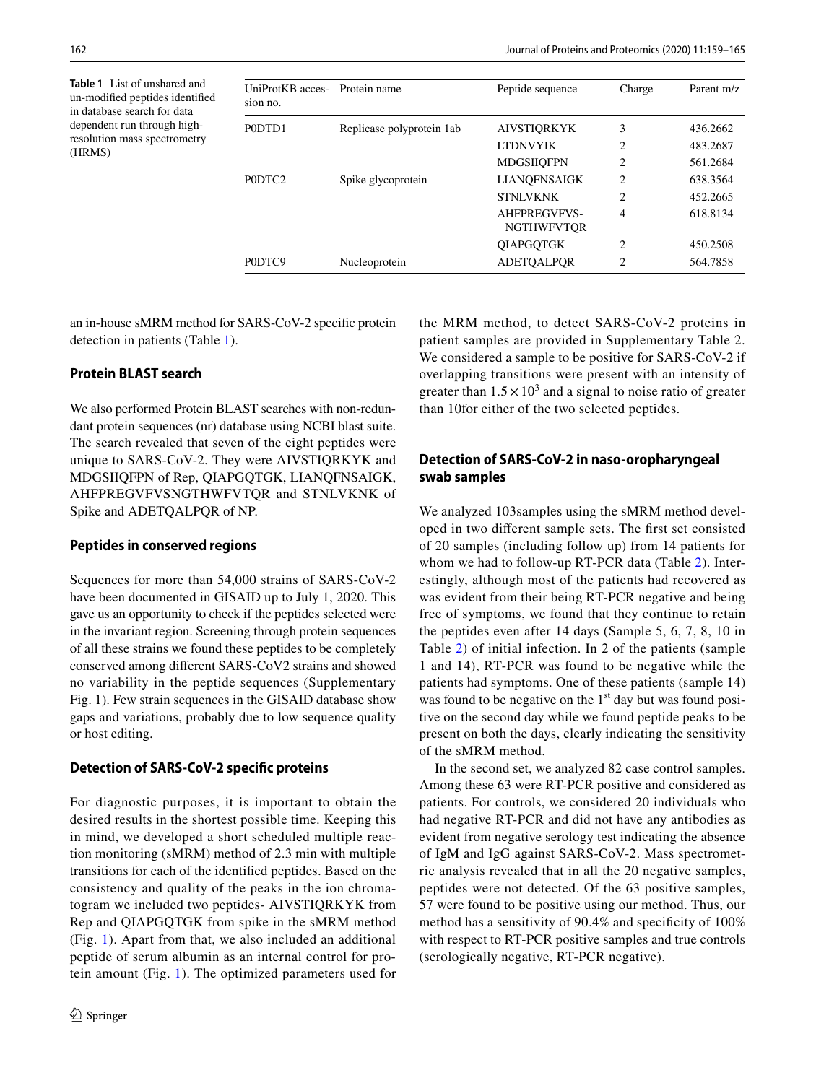<span id="page-3-0"></span>**Table 1** List of unshared and un-modifed peptides identifed in database search for data dependent run through highresolution mass spectrometry (HRMS)

| UniProtKB acces- Protein name<br>sion no. |                           | Peptide sequence                         | Charge         | Parent m/z |
|-------------------------------------------|---------------------------|------------------------------------------|----------------|------------|
| P0DTD1                                    | Replicase polyprotein 1ab | <b>AIVSTIORKYK</b>                       | 3              | 436.2662   |
|                                           |                           | <b>LTDNVYIK</b>                          | $\overline{c}$ | 483.2687   |
|                                           |                           | <b>MDGSIIOFPN</b>                        | $\overline{c}$ | 561.2684   |
| PODTC <sub>2</sub>                        | Spike glycoprotein        | LIANQFNSAIGK                             | $\overline{c}$ | 638.3564   |
|                                           |                           | <b>STNLVKNK</b>                          | $\overline{c}$ | 452.2665   |
|                                           |                           | <b>AHFPREGVFVS-</b><br><b>NGTHWFVTOR</b> | 4              | 618.8134   |
|                                           |                           | <b>OIAPGOTGK</b>                         | 2              | 450.2508   |
| PODTC9                                    | Nucleoprotein             | <b>ADETOALPOR</b>                        | $\overline{c}$ | 564.7858   |

an in-house sMRM method for SARS-CoV-2 specifc protein detection in patients (Table [1](#page-3-0)).

# **Protein BLAST search**

We also performed Protein BLAST searches with non-redundant protein sequences (nr) database using NCBI blast suite. The search revealed that seven of the eight peptides were unique to SARS-CoV-2. They were AIVSTIQRKYK and MDGSIIQFPN of Rep, QIAPGQTGK, LIANQFNSAIGK, AHFPREGVFVSNGTHWFVTQR and STNLVKNK of Spike and ADETQALPQR of NP.

## **Peptides in conserved regions**

Sequences for more than 54,000 strains of SARS-CoV-2 have been documented in GISAID up to July 1, 2020. This gave us an opportunity to check if the peptides selected were in the invariant region. Screening through protein sequences of all these strains we found these peptides to be completely conserved among diferent SARS-CoV2 strains and showed no variability in the peptide sequences (Supplementary Fig. 1). Few strain sequences in the GISAID database show gaps and variations, probably due to low sequence quality or host editing.

# **Detection of SARS‑CoV‑2 specifc proteins**

For diagnostic purposes, it is important to obtain the desired results in the shortest possible time. Keeping this in mind, we developed a short scheduled multiple reaction monitoring (sMRM) method of 2.3 min with multiple transitions for each of the identifed peptides. Based on the consistency and quality of the peaks in the ion chromatogram we included two peptides- AIVSTIQRKYK from Rep and QIAPGQTGK from spike in the sMRM method (Fig. [1](#page-4-0)). Apart from that, we also included an additional peptide of serum albumin as an internal control for protein amount (Fig. [1\)](#page-4-0). The optimized parameters used for the MRM method, to detect SARS-CoV-2 proteins in patient samples are provided in Supplementary Table 2. We considered a sample to be positive for SARS-CoV-2 if overlapping transitions were present with an intensity of greater than  $1.5 \times 10^3$  and a signal to noise ratio of greater than 10for either of the two selected peptides.

# **Detection of SARS‑CoV‑2 in naso‑oropharyngeal swab samples**

We analyzed 103samples using the sMRM method developed in two diferent sample sets. The frst set consisted of 20 samples (including follow up) from 14 patients for whom we had to follow-up RT-PCR data (Table [2\)](#page-4-1). Interestingly, although most of the patients had recovered as was evident from their being RT-PCR negative and being free of symptoms, we found that they continue to retain the peptides even after 14 days (Sample 5, 6, 7, 8, 10 in Table [2\)](#page-4-1) of initial infection. In 2 of the patients (sample 1 and 14), RT-PCR was found to be negative while the patients had symptoms. One of these patients (sample 14) was found to be negative on the 1<sup>st</sup> day but was found positive on the second day while we found peptide peaks to be present on both the days, clearly indicating the sensitivity of the sMRM method.

In the second set, we analyzed 82 case control samples. Among these 63 were RT-PCR positive and considered as patients. For controls, we considered 20 individuals who had negative RT-PCR and did not have any antibodies as evident from negative serology test indicating the absence of IgM and IgG against SARS-CoV-2. Mass spectrometric analysis revealed that in all the 20 negative samples, peptides were not detected. Of the 63 positive samples, 57 were found to be positive using our method. Thus, our method has a sensitivity of 90.4% and specifcity of 100% with respect to RT-PCR positive samples and true controls (serologically negative, RT-PCR negative).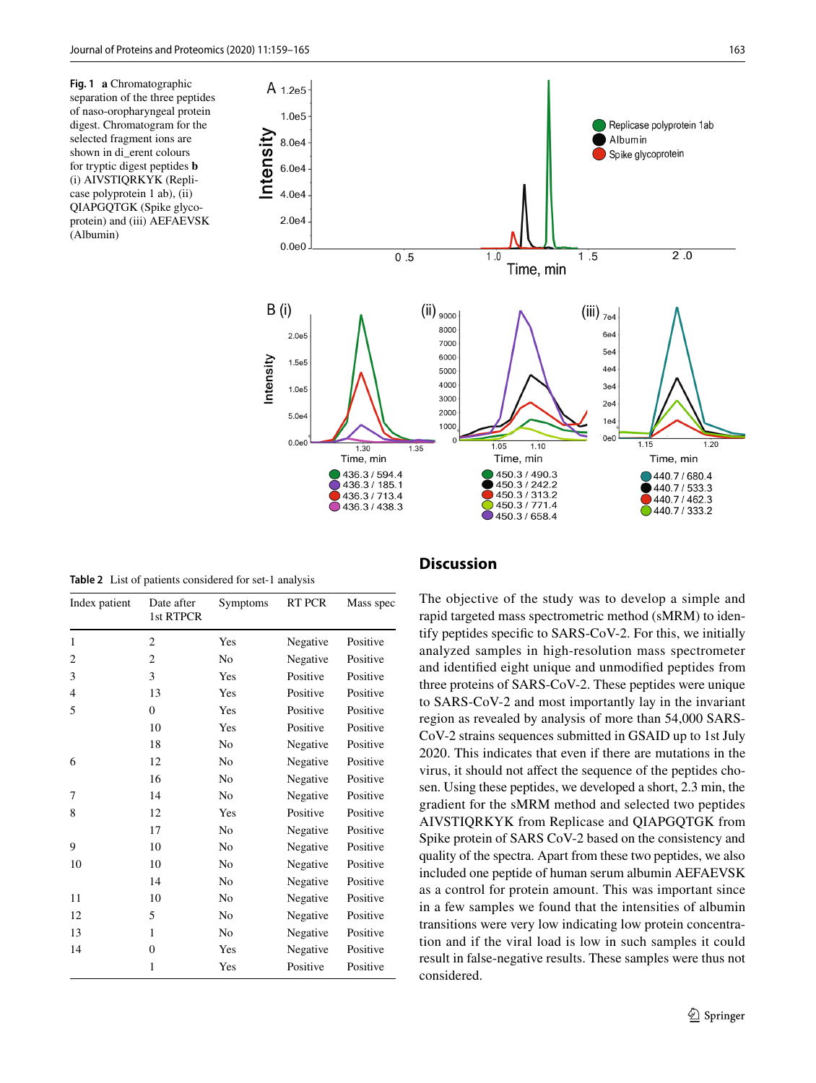<span id="page-4-0"></span>**Fig. 1 a** Chromatographic separation of the three peptides of naso-oropharyngeal protein digest. Chromatogram for the selected fragment ions are shown in di\_erent colours for tryptic digest peptides **b** (i) AIVSTIQRKYK (Replicase polyprotein 1 ab), (ii) QIAPGQTGK (Spike glycoprotein) and (iii) AEFAEVSK (Albumin)



<span id="page-4-1"></span>**Table 2** List of patients considered for set-1 analysis

| Index patient | Date after<br>1st RTPCR | Symptoms       | RT PCR   | Mass spec |
|---------------|-------------------------|----------------|----------|-----------|
| 1             | $\overline{2}$          | Yes            | Negative | Positive  |
| 2             | $\overline{c}$          | No             | Negative | Positive  |
| 3             | 3                       | Yes            | Positive | Positive  |
| 4             | 13                      | Yes            | Positive | Positive  |
| 5             | $\overline{0}$          | Yes            | Positive | Positive  |
|               | 10                      | Yes            | Positive | Positive  |
|               | 18                      | No             | Negative | Positive  |
| 6             | 12                      | No             | Negative | Positive  |
|               | 16                      | No             | Negative | Positive  |
| 7             | 14                      | No             | Negative | Positive  |
| 8             | 12                      | Yes            | Positive | Positive  |
|               | 17                      | No             | Negative | Positive  |
| 9             | 10                      | N <sub>0</sub> | Negative | Positive  |
| 10            | 10                      | No             | Negative | Positive  |
|               | 14                      | No             | Negative | Positive  |
| 11            | 10                      | No             | Negative | Positive  |
| 12            | 5                       | No             | Negative | Positive  |
| 13            | 1                       | No             | Negative | Positive  |
| 14            | $\theta$                | Yes            | Negative | Positive  |
|               | 1                       | Yes            | Positive | Positive  |

#### **Discussion**

The objective of the study was to develop a simple and rapid targeted mass spectrometric method (sMRM) to identify peptides specifc to SARS-CoV-2. For this, we initially analyzed samples in high-resolution mass spectrometer and identifed eight unique and unmodifed peptides from three proteins of SARS-CoV-2. These peptides were unique to SARS-CoV-2 and most importantly lay in the invariant region as revealed by analysis of more than 54,000 SARS-CoV-2 strains sequences submitted in GSAID up to 1st July 2020. This indicates that even if there are mutations in the virus, it should not afect the sequence of the peptides chosen. Using these peptides, we developed a short, 2.3 min, the gradient for the sMRM method and selected two peptides AIVSTIQRKYK from Replicase and QIAPGQTGK from Spike protein of SARS CoV-2 based on the consistency and quality of the spectra. Apart from these two peptides, we also included one peptide of human serum albumin AEFAEVSK as a control for protein amount. This was important since in a few samples we found that the intensities of albumin transitions were very low indicating low protein concentration and if the viral load is low in such samples it could result in false-negative results. These samples were thus not considered.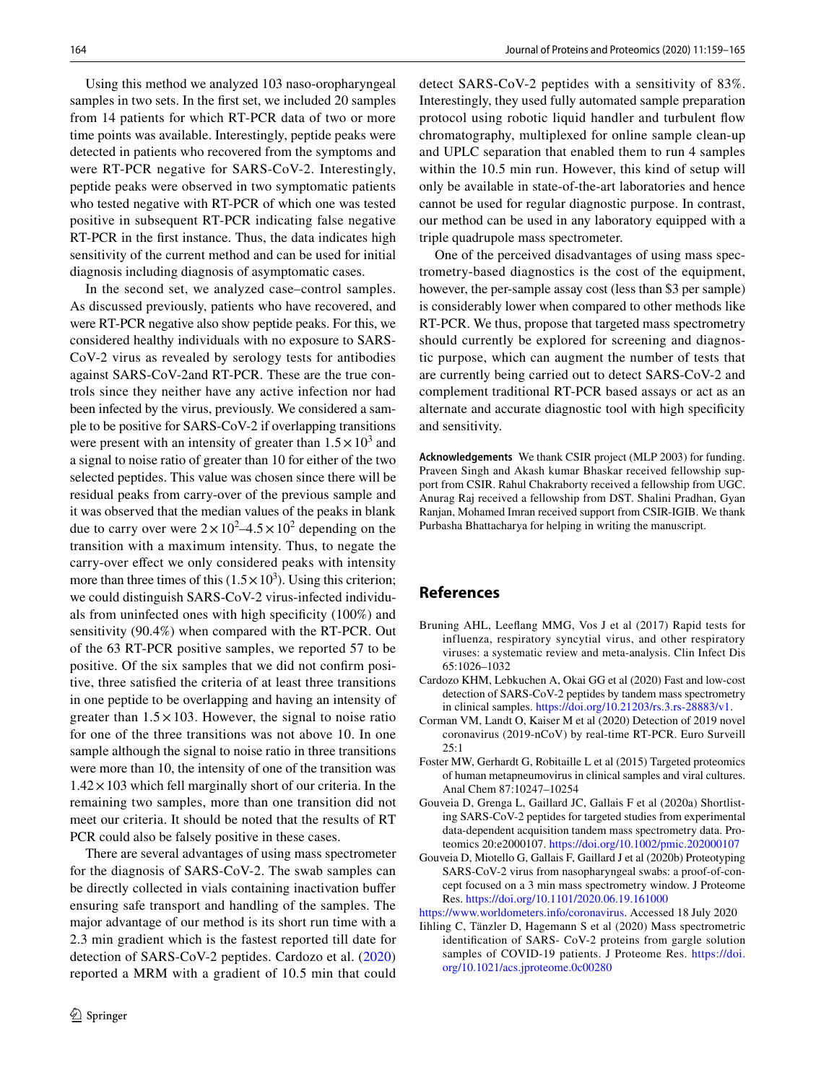Using this method we analyzed 103 naso-oropharyngeal samples in two sets. In the frst set, we included 20 samples from 14 patients for which RT-PCR data of two or more time points was available. Interestingly, peptide peaks were detected in patients who recovered from the symptoms and were RT-PCR negative for SARS-CoV-2. Interestingly, peptide peaks were observed in two symptomatic patients who tested negative with RT-PCR of which one was tested positive in subsequent RT-PCR indicating false negative RT-PCR in the frst instance. Thus, the data indicates high sensitivity of the current method and can be used for initial diagnosis including diagnosis of asymptomatic cases.

In the second set, we analyzed case–control samples. As discussed previously, patients who have recovered, and were RT-PCR negative also show peptide peaks. For this, we considered healthy individuals with no exposure to SARS-CoV-2 virus as revealed by serology tests for antibodies against SARS-CoV-2and RT-PCR. These are the true controls since they neither have any active infection nor had been infected by the virus, previously. We considered a sample to be positive for SARS-CoV-2 if overlapping transitions were present with an intensity of greater than  $1.5 \times 10^3$  and a signal to noise ratio of greater than 10 for either of the two selected peptides. This value was chosen since there will be residual peaks from carry-over of the previous sample and it was observed that the median values of the peaks in blank due to carry over were  $2 \times 10^2 - 4.5 \times 10^2$  depending on the transition with a maximum intensity. Thus, to negate the carry-over efect we only considered peaks with intensity more than three times of this  $(1.5 \times 10^3)$ . Using this criterion; we could distinguish SARS-CoV-2 virus-infected individuals from uninfected ones with high specifcity (100%) and sensitivity (90.4%) when compared with the RT-PCR. Out of the 63 RT-PCR positive samples, we reported 57 to be positive. Of the six samples that we did not confrm positive, three satisfed the criteria of at least three transitions in one peptide to be overlapping and having an intensity of greater than  $1.5 \times 103$ . However, the signal to noise ratio for one of the three transitions was not above 10. In one sample although the signal to noise ratio in three transitions were more than 10, the intensity of one of the transition was  $1.42 \times 103$  which fell marginally short of our criteria. In the remaining two samples, more than one transition did not meet our criteria. It should be noted that the results of RT PCR could also be falsely positive in these cases.

There are several advantages of using mass spectrometer for the diagnosis of SARS-CoV-2. The swab samples can be directly collected in vials containing inactivation bufer ensuring safe transport and handling of the samples. The major advantage of our method is its short run time with a 2.3 min gradient which is the fastest reported till date for detection of SARS-CoV-2 peptides. Cardozo et al. [\(2020\)](#page-5-5) reported a MRM with a gradient of 10.5 min that could detect SARS-CoV-2 peptides with a sensitivity of 83%. Interestingly, they used fully automated sample preparation protocol using robotic liquid handler and turbulent fow chromatography, multiplexed for online sample clean-up and UPLC separation that enabled them to run 4 samples within the 10.5 min run. However, this kind of setup will only be available in state-of-the-art laboratories and hence cannot be used for regular diagnostic purpose. In contrast, our method can be used in any laboratory equipped with a triple quadrupole mass spectrometer.

One of the perceived disadvantages of using mass spectrometry-based diagnostics is the cost of the equipment, however, the per-sample assay cost (less than \$3 per sample) is considerably lower when compared to other methods like RT-PCR. We thus, propose that targeted mass spectrometry should currently be explored for screening and diagnostic purpose, which can augment the number of tests that are currently being carried out to detect SARS-CoV-2 and complement traditional RT-PCR based assays or act as an alternate and accurate diagnostic tool with high specifcity and sensitivity.

**Acknowledgements** We thank CSIR project (MLP 2003) for funding. Praveen Singh and Akash kumar Bhaskar received fellowship support from CSIR. Rahul Chakraborty received a fellowship from UGC. Anurag Raj received a fellowship from DST. Shalini Pradhan, Gyan Ranjan, Mohamed Imran received support from CSIR-IGIB. We thank Purbasha Bhattacharya for helping in writing the manuscript.

# **References**

- <span id="page-5-0"></span>Bruning AHL, Leefang MMG, Vos J et al (2017) Rapid tests for influenza, respiratory syncytial virus, and other respiratory viruses: a systematic review and meta-analysis. Clin Infect Dis 65:1026–1032
- <span id="page-5-5"></span>Cardozo KHM, Lebkuchen A, Okai GG et al (2020) Fast and low-cost detection of SARS-CoV-2 peptides by tandem mass spectrometry in clinical samples.<https://doi.org/10.21203/rs.3.rs-28883/v1>.
- <span id="page-5-6"></span>Corman VM, Landt O, Kaiser M et al (2020) Detection of 2019 novel coronavirus (2019-nCoV) by real-time RT-PCR. Euro Surveill 25:1
- <span id="page-5-1"></span>Foster MW, Gerhardt G, Robitaille L et al (2015) Targeted proteomics of human metapneumovirus in clinical samples and viral cultures. Anal Chem 87:10247–10254
- <span id="page-5-4"></span>Gouveia D, Grenga L, Gaillard JC, Gallais F et al (2020a) Shortlisting SARS-CoV-2 peptides for targeted studies from experimental data-dependent acquisition tandem mass spectrometry data. Proteomics 20:e2000107.<https://doi.org/10.1002/pmic.202000107>
- <span id="page-5-2"></span>Gouveia D, Miotello G, Gallais F, Gaillard J et al (2020b) Proteotyping SARS-CoV-2 virus from nasopharyngeal swabs: a proof-of-concept focused on a 3 min mass spectrometry window. J Proteome Res.<https://doi.org/10.1101/2020.06.19.161000>

[https://www.worldometers.info/coronavirus.](https://www.worldometers.info/coronavirus) Accessed 18 July 2020

<span id="page-5-3"></span>Iihling C, Tänzler D, Hagemann S et al (2020) Mass spectrometric identifcation of SARS- CoV-2 proteins from gargle solution samples of COVID-19 patients. J Proteome Res. [https://doi.](https://doi.org/10.1021/acs.jproteome.0c00280) [org/10.1021/acs.jproteome.0c00280](https://doi.org/10.1021/acs.jproteome.0c00280)